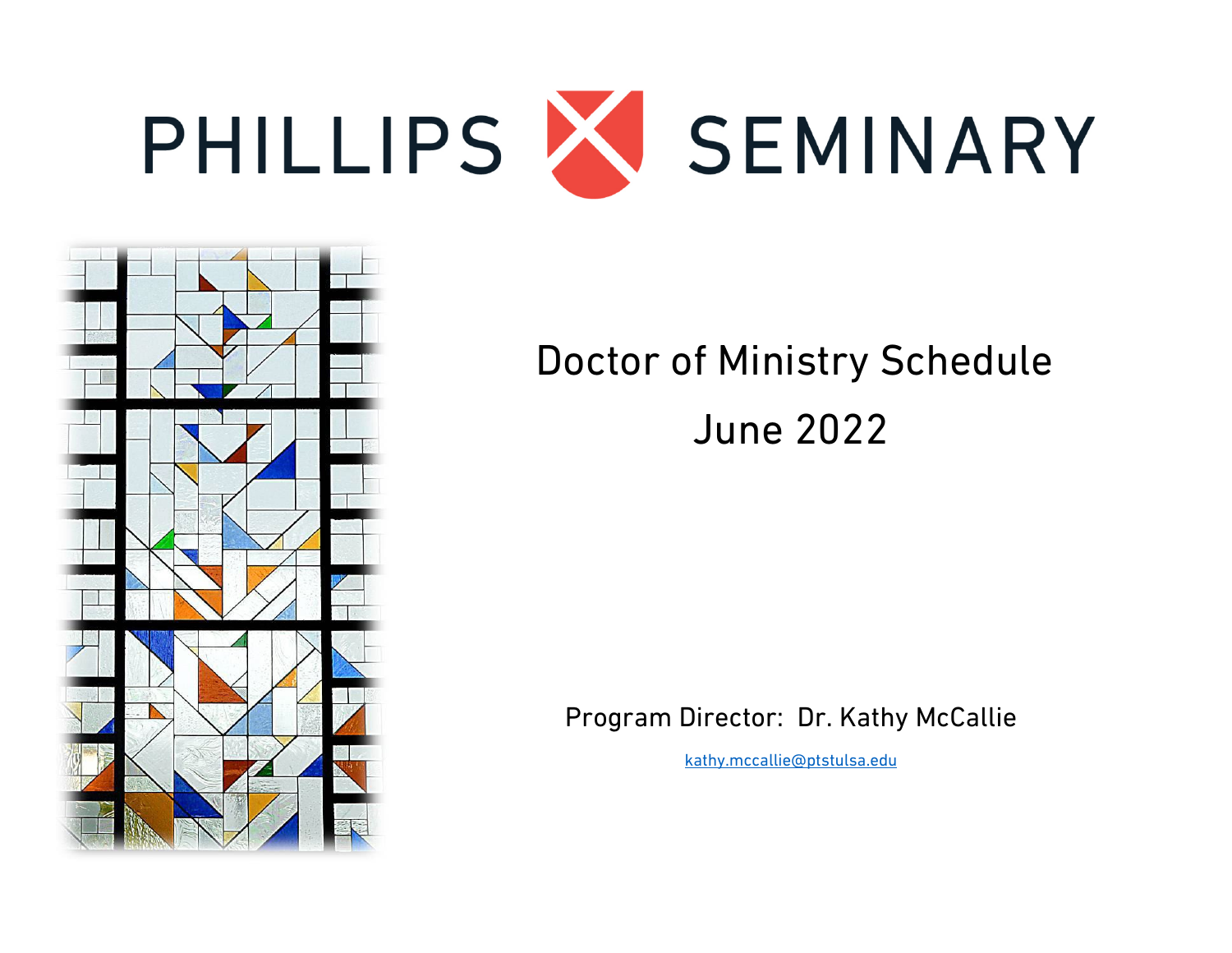



# Doctor of Ministry Schedule June 2022

Program Director: Dr. Kathy McCallie

[kathy.mccallie@ptstulsa.edu](mailto:kathy.mccallie@ptstulsa.edu)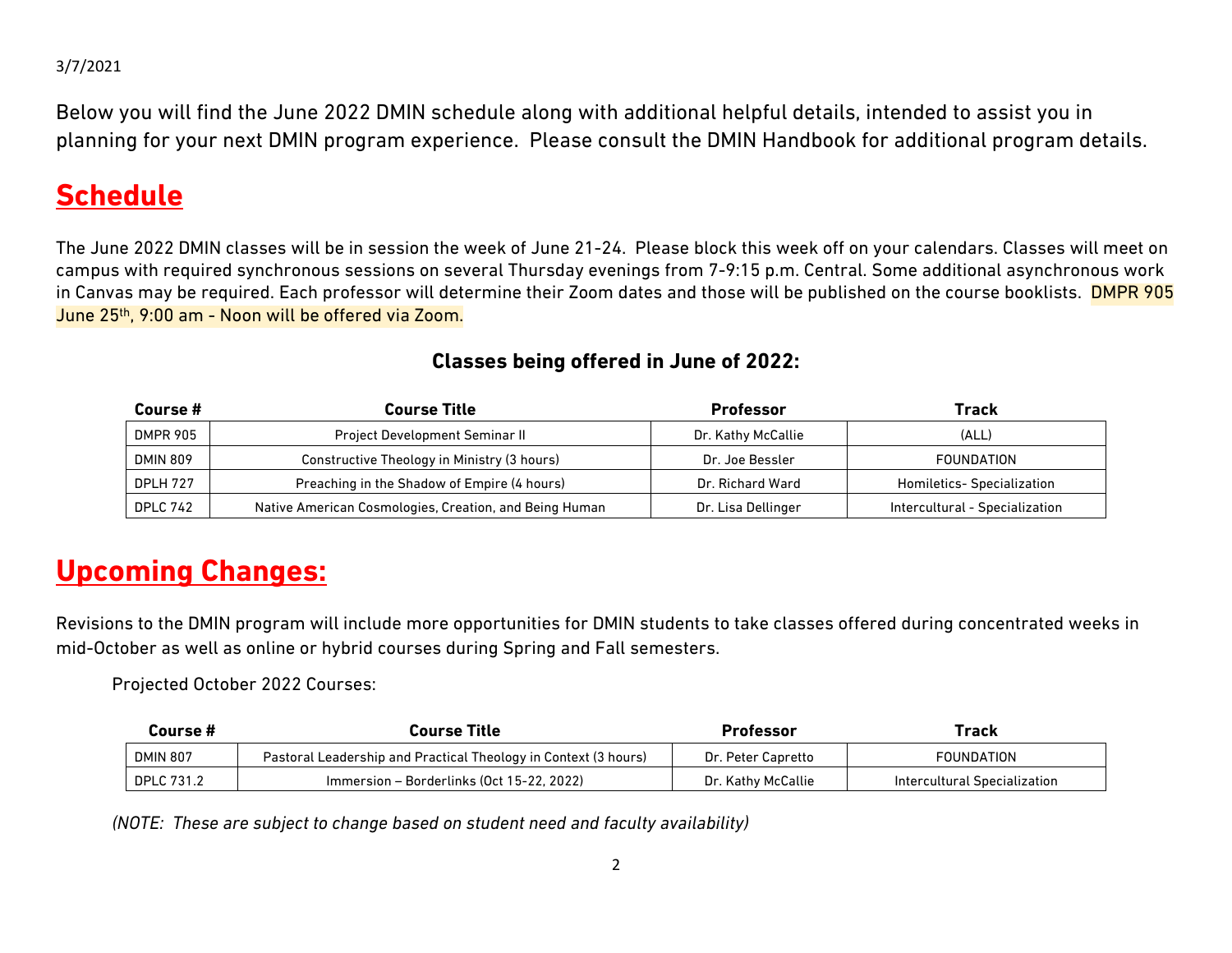Below you will find the June 2022 DMIN schedule along with additional helpful details, intended to assist you in planning for your next DMIN program experience. Please consult the DMIN Handbook for additional program details.

#### **Schedule**

The June 2022 DMIN classes will be in session the week of June 21-24. Please block this week off on your calendars. Classes will meet on campus with required synchronous sessions on several Thursday evenings from 7-9:15 p.m. Central. Some additional asynchronous work in Canvas may be required. Each professor will determine their Zoom dates and those will be published on the course booklists. DMPR 905 June 25th, 9:00 am - Noon will be offered via Zoom.

| Course #        | <b>Course Title</b>                                    | <b>Professor</b>   | Track                             |
|-----------------|--------------------------------------------------------|--------------------|-----------------------------------|
| <b>DMPR 905</b> | <b>Project Development Seminar II</b>                  | Dr. Kathy McCallie | (ALL)                             |
| <b>DMIN 809</b> | Constructive Theology in Ministry (3 hours)            | Dr. Joe Bessler    | FOUNDATION                        |
| <b>DPLH 727</b> | Preaching in the Shadow of Empire (4 hours)            | Dr. Richard Ward   | <b>Homiletics- Specialization</b> |
| <b>DPLC 742</b> | Native American Cosmologies, Creation, and Being Human | Dr. Lisa Dellinger | Intercultural - Specialization    |

#### **Classes being offered in June of 2022:**

#### **Upcoming Changes:**

Revisions to the DMIN program will include more opportunities for DMIN students to take classes offered during concentrated weeks in mid-October as well as online or hybrid courses during Spring and Fall semesters.

Projected October 2022 Courses:

| Course #          | Course Title                                                    | Professor          | Track                        |
|-------------------|-----------------------------------------------------------------|--------------------|------------------------------|
| <b>DMIN 807</b>   | Pastoral Leadership and Practical Theology in Context (3 hours) | Dr. Peter Capretto | FOUNDATION                   |
| <b>DPLC 731.2</b> | Immersion - Borderlinks (Oct 15-22, 2022)                       | Dr. Kathy McCallie | Intercultural Specialization |

*(NOTE: These are subject to change based on student need and faculty availability)*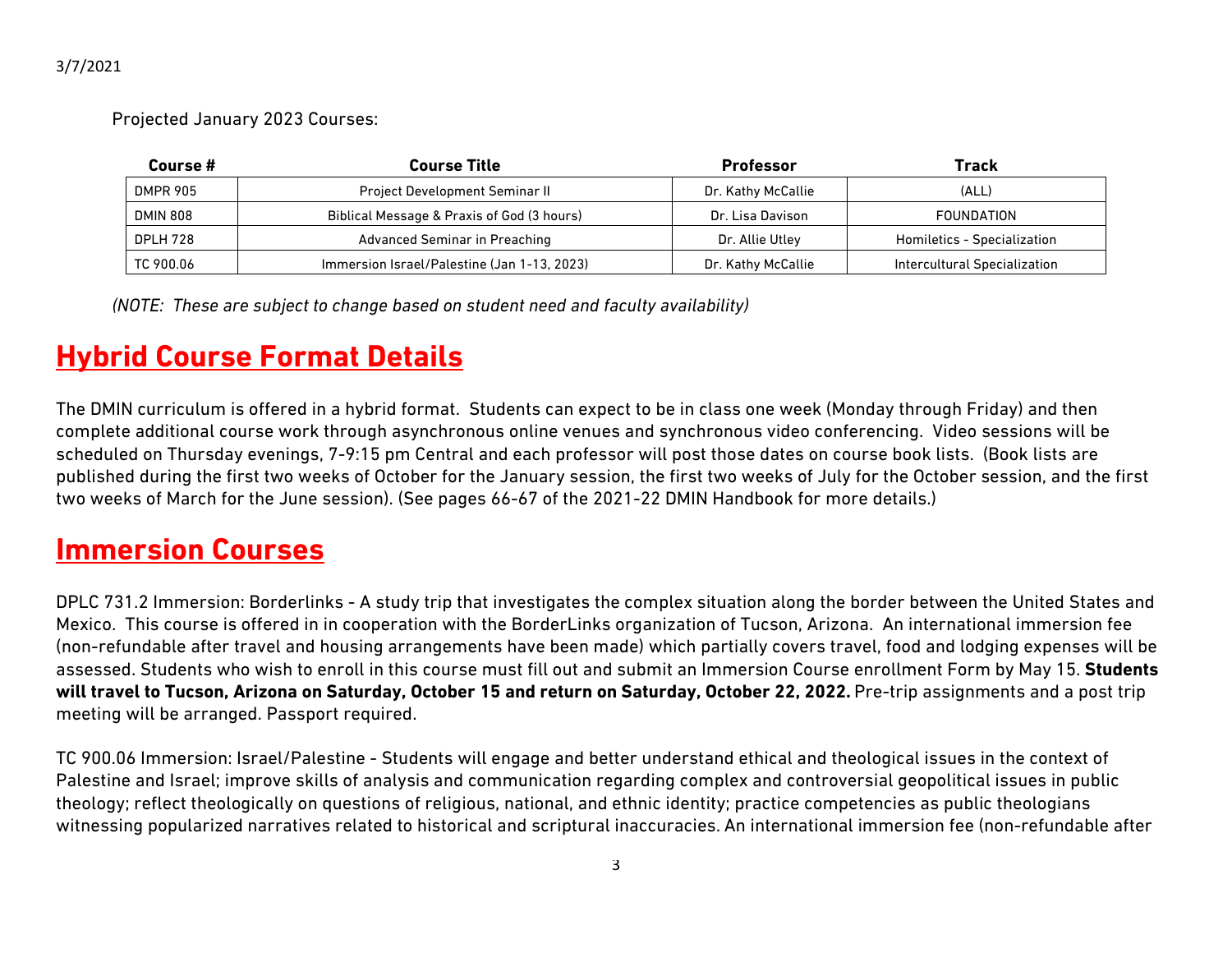Projected January 2023 Courses:

| Course #        | <b>Course Title</b>                         | <b>Professor</b>   | Track                        |
|-----------------|---------------------------------------------|--------------------|------------------------------|
| <b>DMPR 905</b> | <b>Project Development Seminar II</b>       | Dr. Kathy McCallie | (ALL)                        |
| <b>DMIN 808</b> | Biblical Message & Praxis of God (3 hours)  | Dr. Lisa Davison   | <b>FOUNDATION</b>            |
| <b>DPLH 728</b> | Advanced Seminar in Preaching               | Dr. Allie Utley    | Homiletics - Specialization  |
| TC 900.06       | Immersion Israel/Palestine (Jan 1-13, 2023) | Dr. Kathy McCallie | Intercultural Specialization |

*(NOTE: These are subject to change based on student need and faculty availability)*

# **Hybrid Course Format Details**

The DMIN curriculum is offered in a hybrid format. Students can expect to be in class one week (Monday through Friday) and then complete additional course work through asynchronous online venues and synchronous video conferencing. Video sessions will be scheduled on Thursday evenings, 7-9:15 pm Central and each professor will post those dates on course book lists. (Book lists are published during the first two weeks of October for the January session, the first two weeks of July for the October session, and the first two weeks of March for the June session). (See pages 66-67 of the 2021-22 DMIN Handbook for more details.)

#### **Immersion Courses**

DPLC 731.2 Immersion: Borderlinks - A study trip that investigates the complex situation along the border between the United States and Mexico. This course is offered in in cooperation with the BorderLinks organization of Tucson, Arizona. An international immersion fee (non-refundable after travel and housing arrangements have been made) which partially covers travel, food and lodging expenses will be assessed. Students who wish to enroll in this course must fill out and submit an Immersion Course enrollment Form by May 15. **Students will travel to Tucson, Arizona on Saturday, October 15 and return on Saturday, October 22, 2022.** Pre-trip assignments and a post trip meeting will be arranged. Passport required.

TC 900.06 Immersion: Israel/Palestine - Students will engage and better understand ethical and theological issues in the context of Palestine and Israel; improve skills of analysis and communication regarding complex and controversial geopolitical issues in public theology; reflect theologically on questions of religious, national, and ethnic identity; practice competencies as public theologians witnessing popularized narratives related to historical and scriptural inaccuracies. An international immersion fee (non-refundable after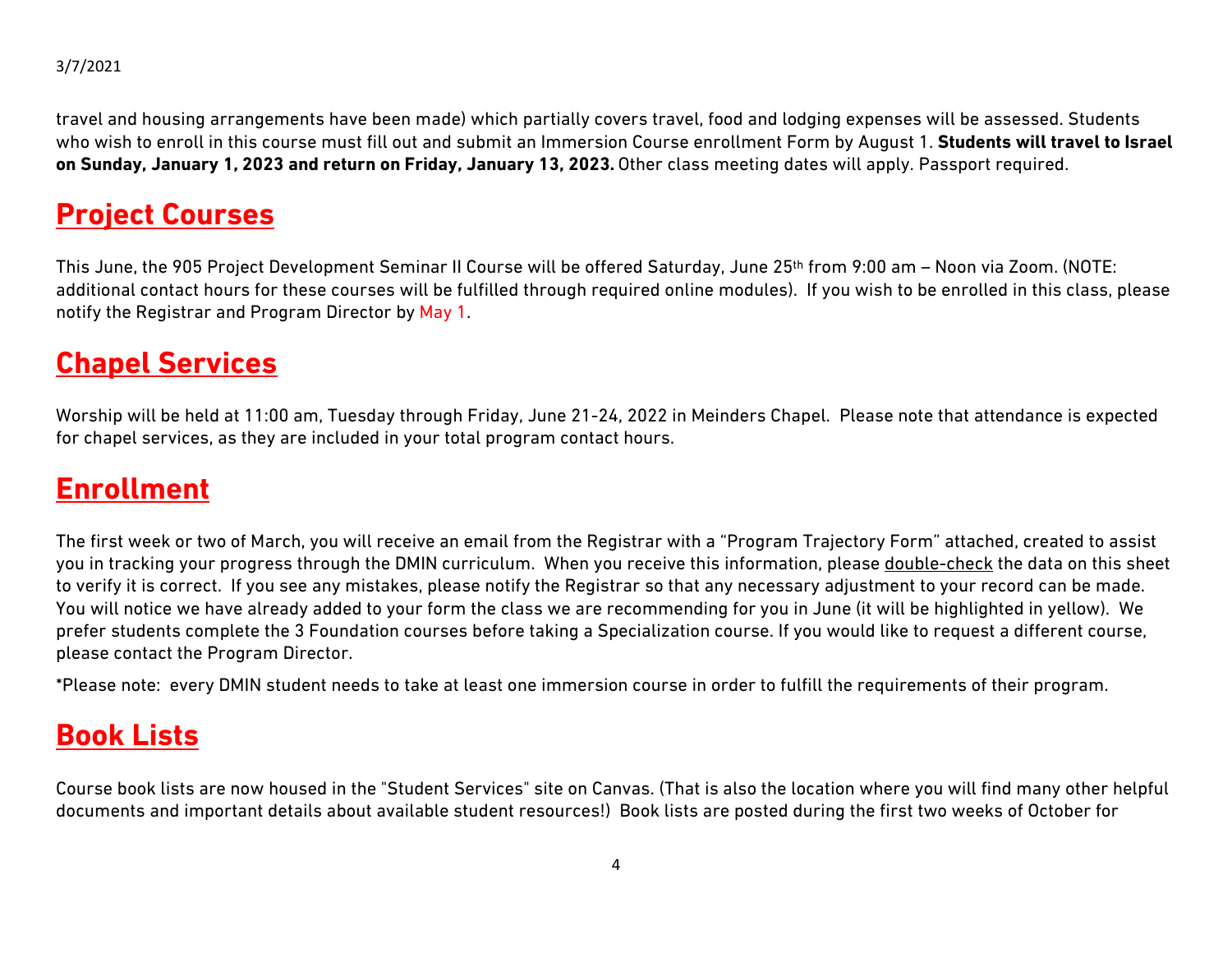travel and housing arrangements have been made) which partially covers travel, food and lodging expenses will be assessed. Students who wish to enroll in this course must fill out and submit an Immersion Course enrollment Form by August 1. **Students will travel to Israel on Sunday, January 1, 2023 and return on Friday, January 13, 2023.** Other class meeting dates will apply. Passport required.

### **Project Courses**

This June, the 905 Project Development Seminar II Course will be offered Saturday, June 25th from 9:00 am – Noon via Zoom. (NOTE: additional contact hours for these courses will be fulfilled through required online modules). If you wish to be enrolled in this class, please notify the Registrar and Program Director by May 1.

#### **Chapel Services**

Worship will be held at 11:00 am, Tuesday through Friday, June 21-24, 2022 in Meinders Chapel. Please note that attendance is expected for chapel services, as they are included in your total program contact hours.

#### **Enrollment**

The first week or two of March, you will receive an email from the Registrar with a "Program Trajectory Form" attached, created to assist you in tracking your progress through the DMIN curriculum. When you receive this information, please double-check the data on this sheet to verify it is correct. If you see any mistakes, please notify the Registrar so that any necessary adjustment to your record can be made. You will notice we have already added to your form the class we are recommending for you in June (it will be highlighted in yellow). We prefer students complete the 3 Foundation courses before taking a Specialization course. If you would like to request a different course, please contact the Program Director.

\*Please note: every DMIN student needs to take at least one immersion course in order to fulfill the requirements of their program.

#### **Book Lists**

Course book lists are now housed in the "Student Services" site on Canvas. (That is also the location where you will find many other helpful documents and important details about available student resources!) Book lists are posted during the first two weeks of October for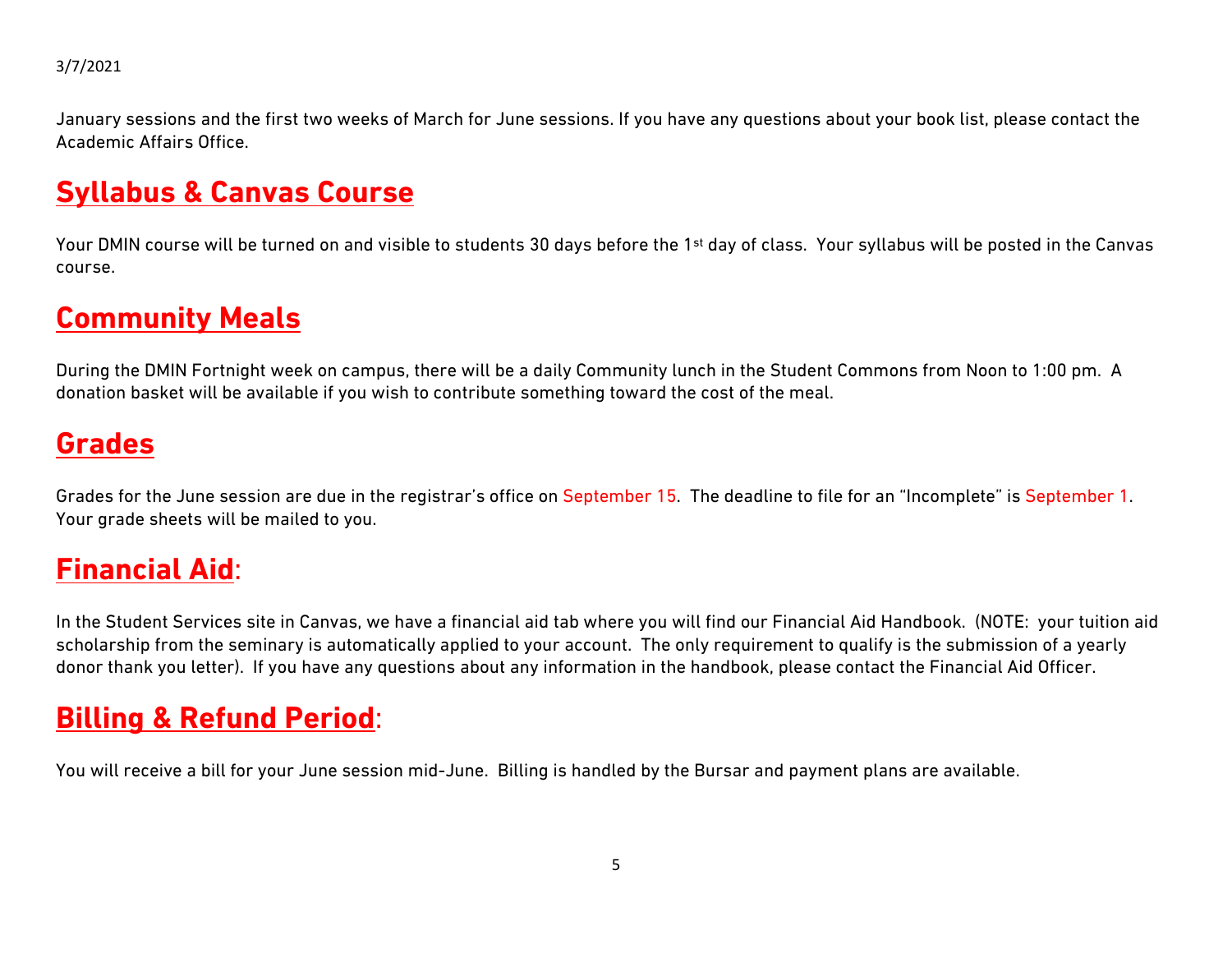January sessions and the first two weeks of March for June sessions. If you have any questions about your book list, please contact the Academic Affairs Office.

### **Syllabus & Canvas Course**

Your DMIN course will be turned on and visible to students 30 days before the 1<sup>st</sup> day of class. Your syllabus will be posted in the Canvas course.

#### **Community Meals**

During the DMIN Fortnight week on campus, there will be a daily Community lunch in the Student Commons from Noon to 1:00 pm. A donation basket will be available if you wish to contribute something toward the cost of the meal.

#### **Grades**

Grades for the June session are due in the registrar's office on September 15. The deadline to file for an "Incomplete" is September 1. Your grade sheets will be mailed to you.

#### **Financial Aid**:

In the Student Services site in Canvas, we have a financial aid tab where you will find our Financial Aid Handbook. (NOTE: your tuition aid scholarship from the seminary is automatically applied to your account. The only requirement to qualify is the submission of a yearly donor thank you letter). If you have any questions about any information in the handbook, please contact the Financial Aid Officer.

### **Billing & Refund Period**:

You will receive a bill for your June session mid-June. Billing is handled by the Bursar and payment plans are available.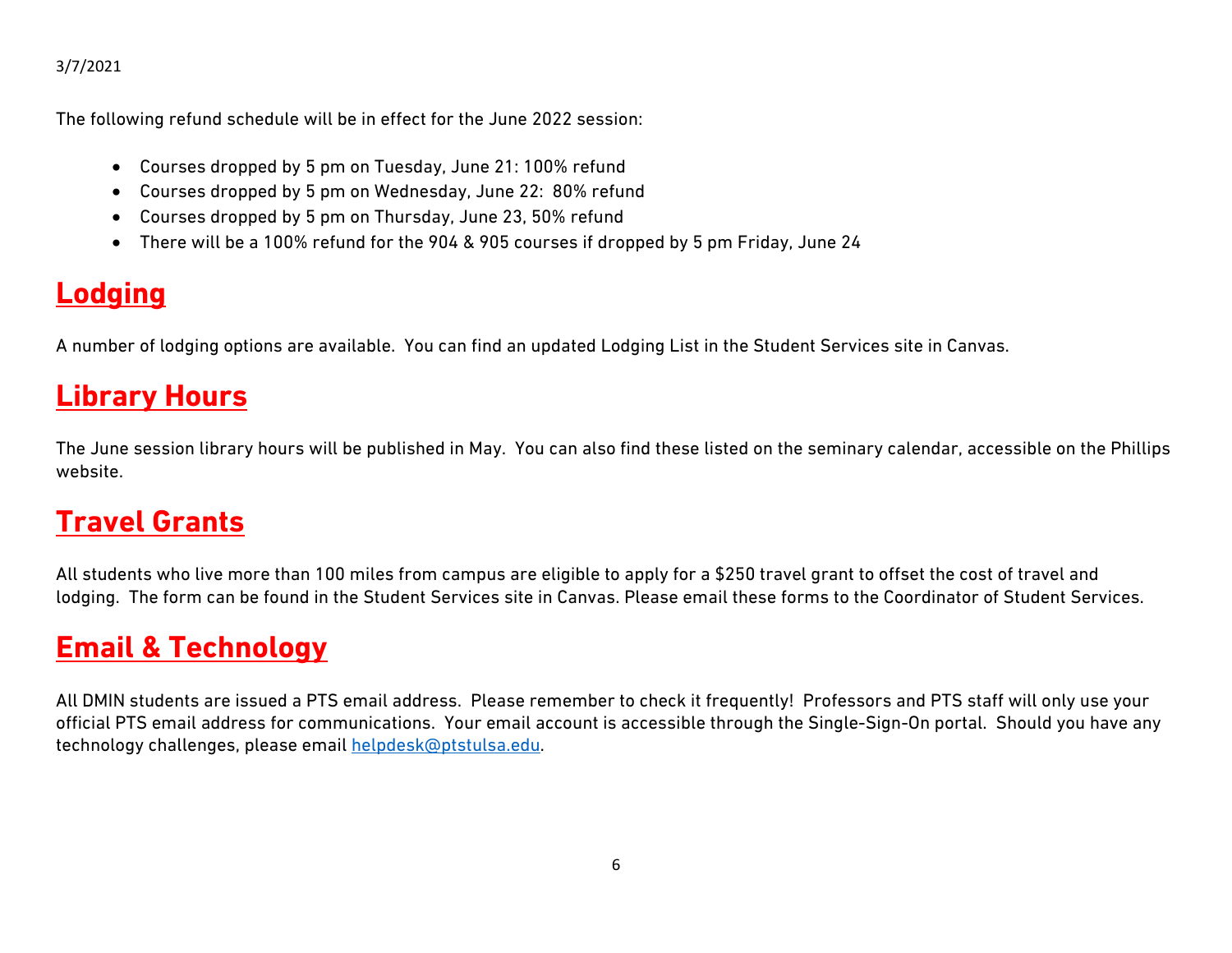The following refund schedule will be in effect for the June 2022 session:

- Courses dropped by 5 pm on Tuesday, June 21: 100% refund
- Courses dropped by 5 pm on Wednesday, June 22: 80% refund
- Courses dropped by 5 pm on Thursday, June 23, 50% refund
- There will be a 100% refund for the 904 & 905 courses if dropped by 5 pm Friday, June 24

# **Lodging**

A number of lodging options are available. You can find an updated Lodging List in the Student Services site in Canvas.

# **Library Hours**

The June session library hours will be published in May. You can also find these listed on the seminary calendar, accessible on the Phillips website.

# **Travel Grants**

All students who live more than 100 miles from campus are eligible to apply for a \$250 travel grant to offset the cost of travel and lodging. The form can be found in the Student Services site in Canvas. Please email these forms to the Coordinator of Student Services.

### **Email & Technology**

All DMIN students are issued a PTS email address. Please remember to check it frequently! Professors and PTS staff will only use your official PTS email address for communications. Your email account is accessible through the Single-Sign-On portal. Should you have any technology challenges, please email [helpdesk@ptstulsa.edu.](mailto:helpdesk@ptstulsa.edu)